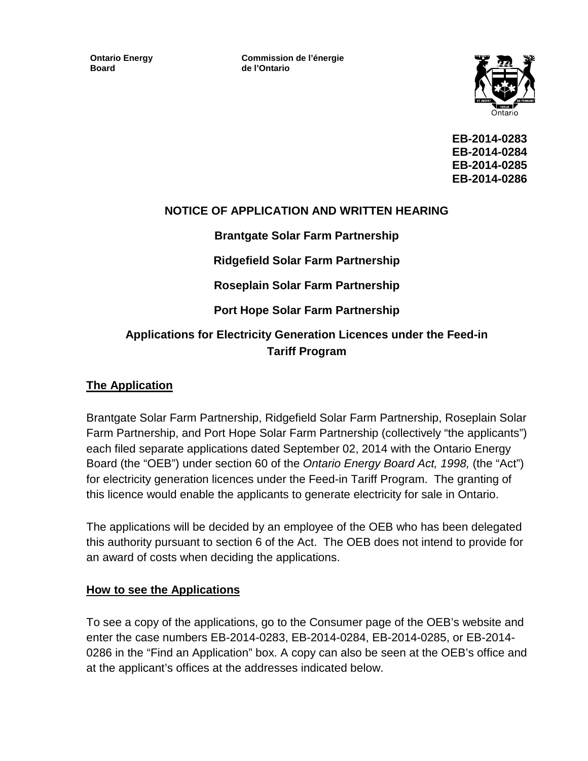**Ontario Energy Board**

**Commission de l'énergie de l'Ontario**



**EB-2014-0283 EB-2014-0284 EB-2014-0285 EB-2014-0286**

## **NOTICE OF APPLICATION AND WRITTEN HEARING**

**Brantgate Solar Farm Partnership**

**Ridgefield Solar Farm Partnership**

**Roseplain Solar Farm Partnership**

### **Port Hope Solar Farm Partnership**

# **Applications for Electricity Generation Licences under the Feed-in Tariff Program**

### **The Application**

Brantgate Solar Farm Partnership, Ridgefield Solar Farm Partnership, Roseplain Solar Farm Partnership, and Port Hope Solar Farm Partnership (collectively "the applicants") each filed separate applications dated September 02, 2014 with the Ontario Energy Board (the "OEB") under section 60 of the *Ontario Energy Board Act, 1998,* (the "Act") for electricity generation licences under the Feed-in Tariff Program. The granting of this licence would enable the applicants to generate electricity for sale in Ontario.

The applications will be decided by an employee of the OEB who has been delegated this authority pursuant to section 6 of the Act. The OEB does not intend to provide for an award of costs when deciding the applications.

### **How to see the Applications**

To see a copy of the applications, go to the Consumer page of the OEB's website and enter the case numbers EB-2014-0283, EB-2014-0284, EB-2014-0285, or EB-2014- 0286 in the "Find an Application" box. A copy can also be seen at the OEB's office and at the applicant's offices at the addresses indicated below.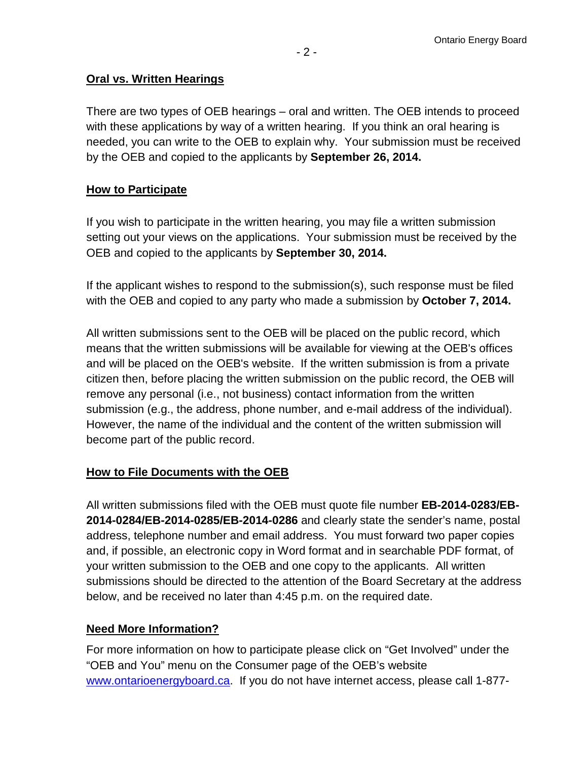## **Oral vs. Written Hearings**

There are two types of OEB hearings – oral and written. The OEB intends to proceed with these applications by way of a written hearing. If you think an oral hearing is needed, you can write to the OEB to explain why. Your submission must be received by the OEB and copied to the applicants by **September 26, 2014.**

## **How to Participate**

If you wish to participate in the written hearing, you may file a written submission setting out your views on the applications. Your submission must be received by the OEB and copied to the applicants by **September 30, 2014.**

If the applicant wishes to respond to the submission(s), such response must be filed with the OEB and copied to any party who made a submission by **October 7, 2014.**

All written submissions sent to the OEB will be placed on the public record, which means that the written submissions will be available for viewing at the OEB's offices and will be placed on the OEB's website. If the written submission is from a private citizen then, before placing the written submission on the public record, the OEB will remove any personal (i.e., not business) contact information from the written submission (e.g., the address, phone number, and e-mail address of the individual). However, the name of the individual and the content of the written submission will become part of the public record.

# **How to File Documents with the OEB**

All written submissions filed with the OEB must quote file number **EB-2014-0283/EB-2014-0284/EB-2014-0285/EB-2014-0286** and clearly state the sender's name, postal address, telephone number and email address. You must forward two paper copies and, if possible, an electronic copy in Word format and in searchable PDF format, of your written submission to the OEB and one copy to the applicants. All written submissions should be directed to the attention of the Board Secretary at the address below, and be received no later than 4:45 p.m. on the required date.

# **Need More Information?**

For more information on how to participate please click on "Get Involved" under the "OEB and You" menu on the Consumer page of the OEB's website [www.ontarioenergyboard.ca.](http://www.ontarioenergyboard.ca/) If you do not have internet access, please call 1-877